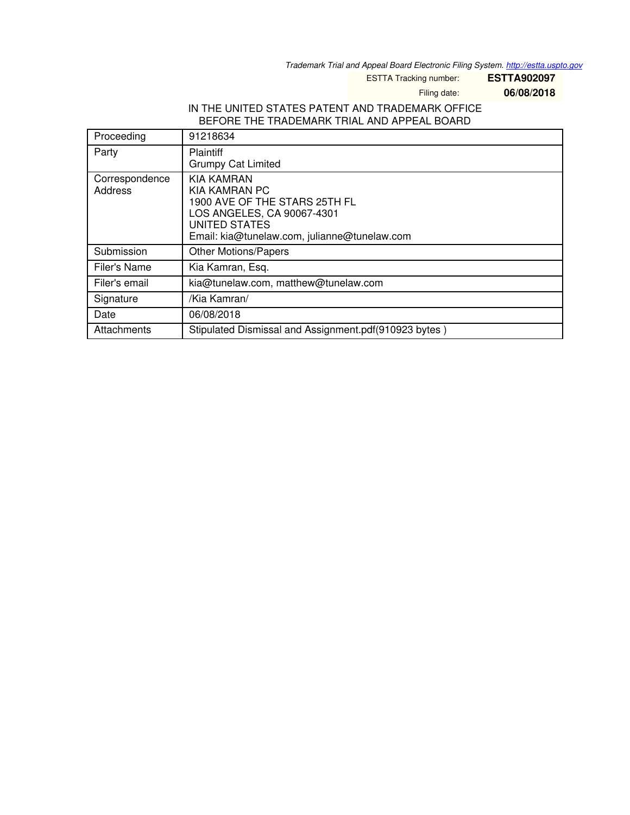*Trademark Trial and Appeal Board Electronic Filing System. <http://estta.uspto.gov>*

ESTTA Tracking number: **ESTTA902097**

Filing date: **06/08/2018**

# IN THE UNITED STATES PATENT AND TRADEMARK OFFICE BEFORE THE TRADEMARK TRIAL AND APPEAL BOARD

| Proceeding                | 91218634                                                                                                                                                                  |
|---------------------------|---------------------------------------------------------------------------------------------------------------------------------------------------------------------------|
| Party                     | <b>Plaintiff</b><br><b>Grumpy Cat Limited</b>                                                                                                                             |
| Correspondence<br>Address | <b>KIA KAMRAN</b><br>KIA KAMRAN PC<br>1900 AVE OF THE STARS 25TH FL<br>LOS ANGELES, CA 90067-4301<br><b>UNITED STATES</b><br>Email: kia@tunelaw.com, julianne@tunelaw.com |
| Submission                | <b>Other Motions/Papers</b>                                                                                                                                               |
| Filer's Name              | Kia Kamran, Esq.                                                                                                                                                          |
| Filer's email             | kia@tunelaw.com, matthew@tunelaw.com                                                                                                                                      |
| Signature                 | /Kia Kamran/                                                                                                                                                              |
| Date                      | 06/08/2018                                                                                                                                                                |
| Attachments               | Stipulated Dismissal and Assignment.pdf(910923 bytes)                                                                                                                     |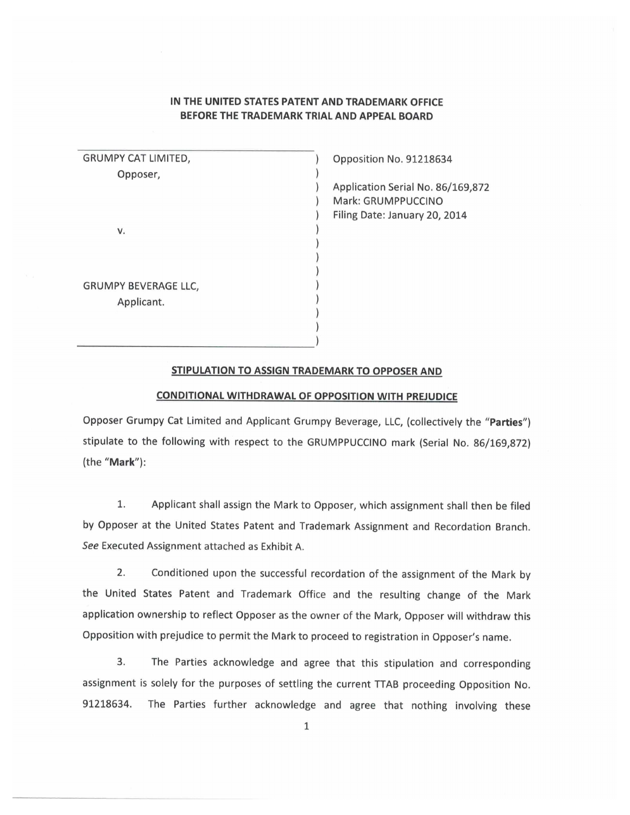# IN THE UNITED STATES PATENT AND TRADEMARK OFFICE BEFORE THE TRADEMARK TRIAL AND APPEAL BOARD

| GRUMPY CAT LIMITED,  |  |
|----------------------|--|
| Opposer,             |  |
|                      |  |
|                      |  |
|                      |  |
| v.                   |  |
|                      |  |
|                      |  |
|                      |  |
| GRUMPY BEVERAGE LLC, |  |
| Applicant.           |  |
|                      |  |
|                      |  |

Opposition No. 91218634

Application Serial No. 86/169,872 Mark: GRUMPPUCCINO Filing Date: January 20, 2014

#### STIPULATION TO ASSIGN TRADEMARK TO OPPOSER AND

## CONDITIONAL WITHDRAWAL OF OPPOSITION WITH PREJUDICE

Opposer Grumpy Cat Limited and Applicant Grumpy Beverage, LLC, (collectively the "Parties") stipulate to the following with respect to the GRUMPPUCCINO mark (Serial No. 86/169,872) (the "Mark"):

1. Applicant shall assign the Mark to Opposer, which assignment shall then be filed by Opposer at the United States Patent and Trademark Assignment and Recordation Branch. See Executed Assignment attached as Exhibit A.

 $2.$ Conditioned upon the successful recordation of the assignment of the Mark by the United States Patent and Trademark Office and the resulting change of the Mark application ownership to reflect Opposer as the owner of the Mark, Opposer will withdraw this Opposition with prejudice to permit the Mark to proceed to registration in Opposer's name.

3. The Parties acknowledge and agree that this stipulation and corresponding assignment is solely for the purposes of settling the current TTAB proceeding Opposition No. The Parties further acknowledge and agree that nothing involving these 91218634.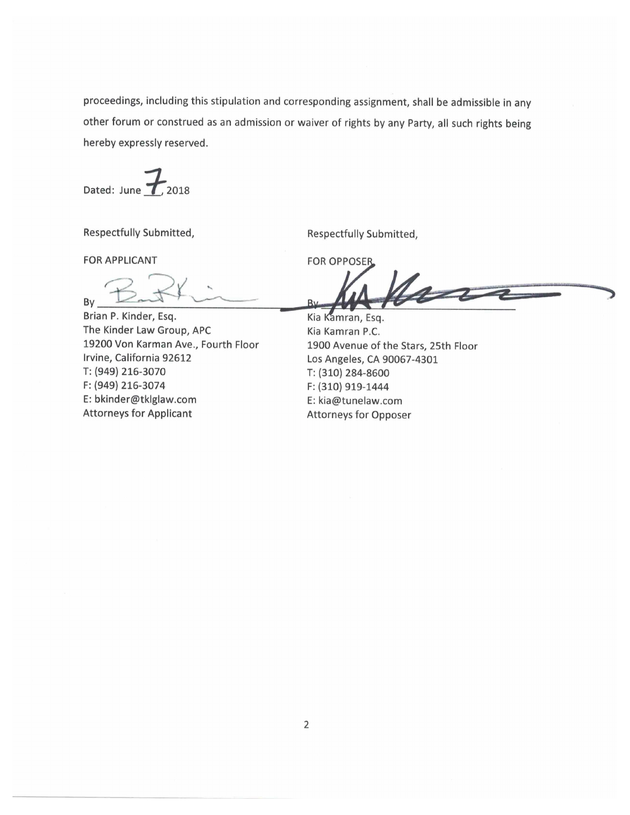proceedings, including this stipulation and corresponding assignment, shall be admissible in any other forum or construed as an admission or waiver of rights by any Party, all such rights being hereby expressly reserved.

Dated: June  $\tau$  2018

Respectfully Submitted,

Respectfully Submitted,

**FOR APPLICANT** 

By

Brian P. Kinder, Esq. The Kinder Law Group, APC 19200 Von Karman Ave., Fourth Floor Irvine, California 92612 T: (949) 216-3070 F: (949) 216-3074 E: bkinder@tklglaw.com **Attorneys for Applicant** 

**FOR OPPOSER** 

 $4\pi$  $R_1$ 

Kia Kamran, Esq. Kia Kamran P.C. 1900 Avenue of the Stars, 25th Floor Los Angeles, CA 90067-4301 T: (310) 284-8600 F: (310) 919-1444 E: kia@tunelaw.com **Attorneys for Opposer**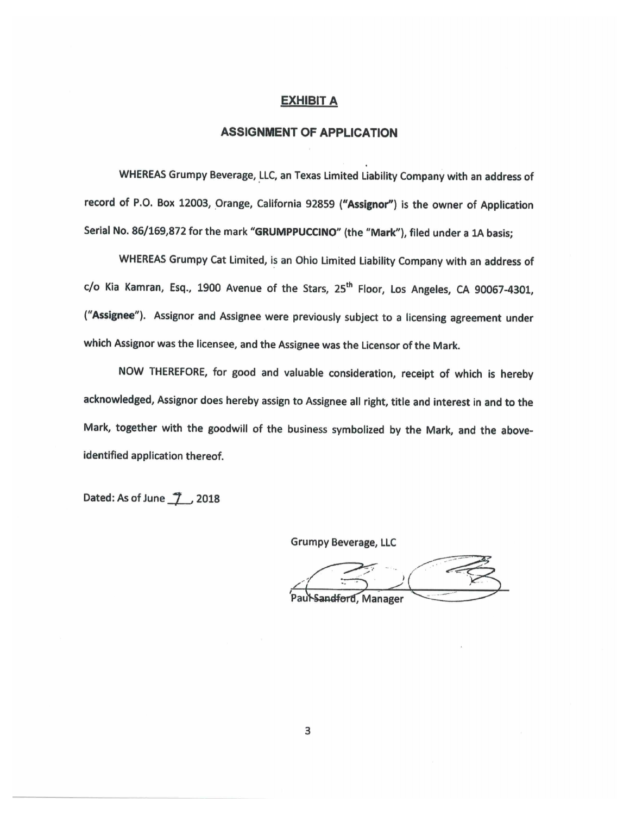#### **EXHIBIT A**

## **ASSIGNMENT OF APPLICATION**

WHEREAS Grumpy Beverage, LLC, an Texas Limited Liability Company with an address of record of P.O. Box 12003, Orange, California 92859 ("Assignor") is the owner of Application Serial No. 86/169,872 for the mark "GRUMPPUCCINO" (the "Mark"), filed under a 1A basis;

WHEREAS Grumpy Cat Limited, is an Ohio Limited Liability Company with an address of c/o Kia Kamran, Esq., 1900 Avenue of the Stars, 25<sup>th</sup> Floor, Los Angeles, CA 90067-4301, ("Assignee"). Assignor and Assignee were previously subject to a licensing agreement under which Assignor was the licensee, and the Assignee was the Licensor of the Mark.

NOW THEREFORE, for good and valuable consideration, receipt of which is hereby acknowledged, Assignor does hereby assign to Assignee all right, title and interest in and to the Mark, together with the goodwill of the business symbolized by the Mark, and the aboveidentified application thereof.

Dated: As of June 1 2018

**Grumpy Beverage, LLC** 

Sandford, Manager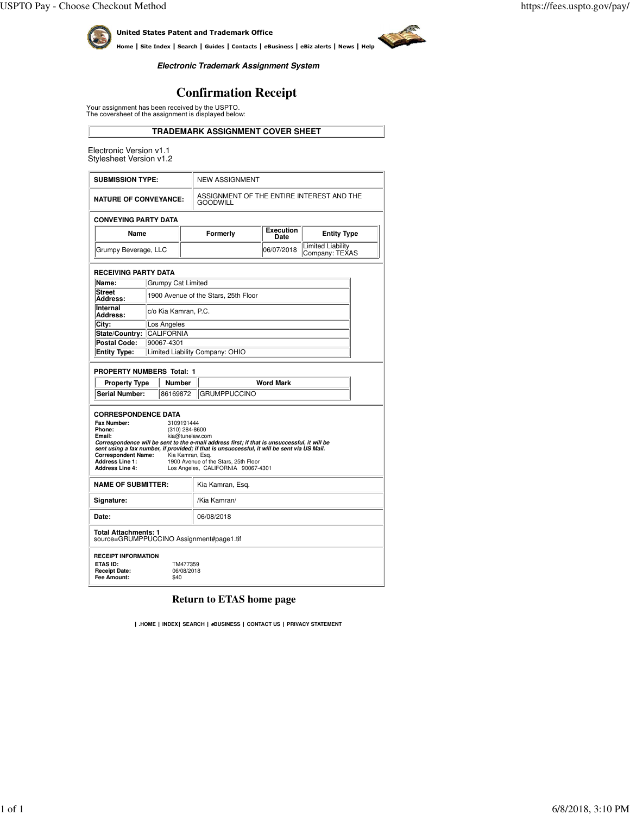**ASSA** 



United States Patent and Trademark Office

Home | Site Index | Search | Guides | Contacts | eBusiness | eBiz alerts | News | Help

**Electronic Trademark Assignment System**

# **Confirmation Receipt**

Your assignment has been received by the USPTO. The coversheet of the assignment is displayed below:

**TRADEMARK ASSIGNMENT COVER SHEET**

Electronic Version v1.1 Stylesheet Version v1.2

| <b>SUBMISSION TYPE:</b>                                                                                                                       |                                      | <b>NEW ASSIGNMENT</b>                                        |                                                                                              |            |                                            |  |  |  |
|-----------------------------------------------------------------------------------------------------------------------------------------------|--------------------------------------|--------------------------------------------------------------|----------------------------------------------------------------------------------------------|------------|--------------------------------------------|--|--|--|
| <b>NATURE OF CONVEYANCE:</b>                                                                                                                  |                                      | ASSIGNMENT OF THE ENTIRE INTEREST AND THE<br><b>GOODWILL</b> |                                                                                              |            |                                            |  |  |  |
| <b>CONVEYING PARTY DATA</b>                                                                                                                   |                                      |                                                              |                                                                                              |            |                                            |  |  |  |
| Name                                                                                                                                          |                                      |                                                              | <b>Execution</b><br>Formerly<br>Date                                                         |            | <b>Entity Type</b>                         |  |  |  |
| Grumpy Beverage, LLC                                                                                                                          |                                      |                                                              |                                                                                              | 06/07/2018 | <b>Limited Liability</b><br>Company: TEXAS |  |  |  |
| <b>RECEIVING PARTY DATA</b>                                                                                                                   |                                      |                                                              |                                                                                              |            |                                            |  |  |  |
| Name:                                                                                                                                         |                                      | <b>Grumpy Cat Limited</b>                                    |                                                                                              |            |                                            |  |  |  |
| <b>Street</b><br>Address:                                                                                                                     | 1900 Avenue of the Stars, 25th Floor |                                                              |                                                                                              |            |                                            |  |  |  |
| Internal<br>Address:                                                                                                                          | c/o Kia Kamran, P.C.                 |                                                              |                                                                                              |            |                                            |  |  |  |
| City:                                                                                                                                         | Los Angeles                          |                                                              |                                                                                              |            |                                            |  |  |  |
| State/Country:                                                                                                                                | <b>CALIFORNIA</b>                    |                                                              |                                                                                              |            |                                            |  |  |  |
| <b>Postal Code:</b>                                                                                                                           | 90067-4301                           |                                                              |                                                                                              |            |                                            |  |  |  |
| <b>Entity Type:</b>                                                                                                                           | Limited Liability Company: OHIO      |                                                              |                                                                                              |            |                                            |  |  |  |
| <b>PROPERTY NUMBERS Total: 1</b>                                                                                                              |                                      |                                                              |                                                                                              |            |                                            |  |  |  |
| <b>Property Type</b>                                                                                                                          | <b>Number</b>                        |                                                              | <b>Word Mark</b>                                                                             |            |                                            |  |  |  |
|                                                                                                                                               | Serial Number:<br>86169872           |                                                              | <b>GRUMPPUCCINO</b>                                                                          |            |                                            |  |  |  |
|                                                                                                                                               | <b>CORRESPONDENCE DATA</b>           |                                                              |                                                                                              |            |                                            |  |  |  |
| Fax Number:                                                                                                                                   | 3109191444                           |                                                              |                                                                                              |            |                                            |  |  |  |
| Phone:<br>Email:                                                                                                                              | (310) 284-8600                       |                                                              | kia@tunelaw.com                                                                              |            |                                            |  |  |  |
|                                                                                                                                               |                                      |                                                              | Correspondence will be sent to the e-mail address first; if that is unsuccessful, it will be |            |                                            |  |  |  |
| sent using a fax number, if provided; if that is unsuccessful, it will be sent via US Mail.<br><b>Correspondent Name:</b><br>Kia Kamran, Esg. |                                      |                                                              |                                                                                              |            |                                            |  |  |  |
| <b>Address Line 1:</b><br>1900 Avenue of the Stars, 25th Floor                                                                                |                                      |                                                              |                                                                                              |            |                                            |  |  |  |
| <b>Address Line 4:</b><br>Los Angeles, CALIFORNIA 90067-4301                                                                                  |                                      |                                                              |                                                                                              |            |                                            |  |  |  |
| <b>NAME OF SUBMITTER:</b>                                                                                                                     |                                      |                                                              | Kia Kamran, Esg.                                                                             |            |                                            |  |  |  |
| Signature:                                                                                                                                    |                                      | /Kia Kamran/                                                 |                                                                                              |            |                                            |  |  |  |
| Date:                                                                                                                                         |                                      |                                                              | 06/08/2018                                                                                   |            |                                            |  |  |  |
| <b>Total Attachments: 1</b><br>source=GRUMPPUCCINO Assignment#page1.tif                                                                       |                                      |                                                              |                                                                                              |            |                                            |  |  |  |
| <b>RECEIPT INFORMATION</b><br><b>ETAS ID:</b><br>TM477359<br><b>Receipt Date:</b><br>06/08/2018<br>Fee Amount:<br>\$40                        |                                      |                                                              |                                                                                              |            |                                            |  |  |  |

## **Return to ETAS home page**

| .**HOME** | **INDEX**| **SEARCH** | **eBUSINESS** | **CONTACT US** | **PRIVACY STATEMENT**